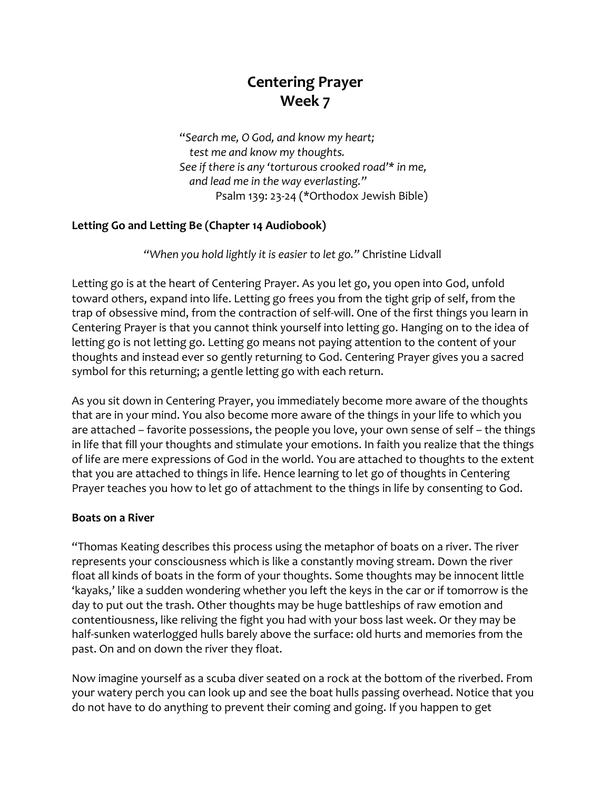## **Centering Prayer Week 7**

"*Search me, O God, and know my heart; test me and know my thoughts. See if there is any 'torturous crooked road'\* in me, and lead me in the way everlasting."* Psalm 139: 23-24 (\*Orthodox Jewish Bible)

## **Letting Go and Letting Be (Chapter 14 Audiobook)**

*"When you hold lightly it is easier to let go."* Christine Lidvall

Letting go is at the heart of Centering Prayer. As you let go, you open into God, unfold toward others, expand into life. Letting go frees you from the tight grip of self, from the trap of obsessive mind, from the contraction of self-will. One of the first things you learn in Centering Prayer is that you cannot think yourself into letting go. Hanging on to the idea of letting go is not letting go. Letting go means not paying attention to the content of your thoughts and instead ever so gently returning to God. Centering Prayer gives you a sacred symbol for this returning; a gentle letting go with each return.

As you sit down in Centering Prayer, you immediately become more aware of the thoughts that are in your mind. You also become more aware of the things in your life to which you are attached – favorite possessions, the people you love, your own sense of self – the things in life that fill your thoughts and stimulate your emotions. In faith you realize that the things of life are mere expressions of God in the world. You are attached to thoughts to the extent that you are attached to things in life. Hence learning to let go of thoughts in Centering Prayer teaches you how to let go of attachment to the things in life by consenting to God.

## **Boats on a River**

"Thomas Keating describes this process using the metaphor of boats on a river. The river represents your consciousness which is like a constantly moving stream. Down the river float all kinds of boats in the form of your thoughts. Some thoughts may be innocent little 'kayaks,' like a sudden wondering whether you left the keys in the car or if tomorrow is the day to put out the trash. Other thoughts may be huge battleships of raw emotion and contentiousness, like reliving the fight you had with your boss last week. Or they may be half-sunken waterlogged hulls barely above the surface: old hurts and memories from the past. On and on down the river they float.

Now imagine yourself as a scuba diver seated on a rock at the bottom of the riverbed. From your watery perch you can look up and see the boat hulls passing overhead. Notice that you do not have to do anything to prevent their coming and going. If you happen to get